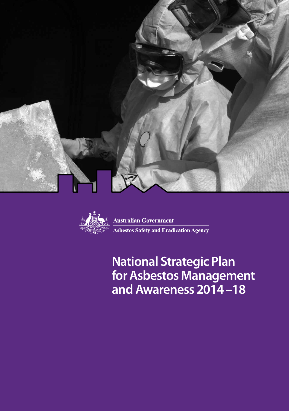



**Australian Government** Asbestos Safety and Eradication Agency

**National Strategic Plan for Asbestos Management and Awareness 2014–18**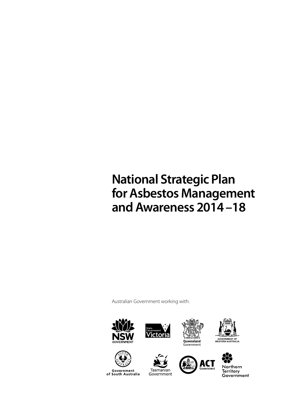# **National Strategic Plan for Asbestos Management and Awareness 2014–18**

Australian Government working with:







**ACT** 









Tasmanian Government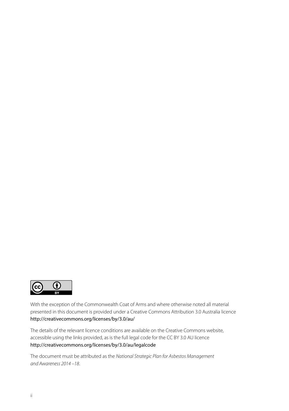

With the exception of the Commonwealth Coat of Arms and where otherwise noted all material presented in this document is provided under a Creative Commons Attribution 3.0 Australia licence http://creativecommons.org/licenses/by/3.0/au/

The details of the relevant licence conditions are available on the Creative Commons website, accessible using the links provided, as is the full legal code for the CC BY 3.0 AU licence http://creativecommons.org/licenses/by/3.0/au/legalcode

The document must be attributed as the *National Strategic Plan for Asbestos Management and Awareness 2014 –18*.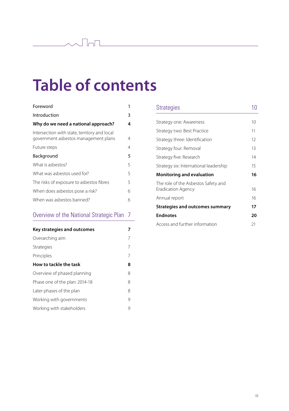# **Table of contents**

 $\Box$ 

| Foreword                                                                             | 1 |
|--------------------------------------------------------------------------------------|---|
| Introduction                                                                         | 3 |
| Why do we need a national approach?                                                  | 4 |
| Intersection with state, territory and local<br>government asbestos management plans | 4 |
| Future steps                                                                         | 4 |
| Background                                                                           | 5 |
| What is asbestos?                                                                    | 5 |
| What was asbestos used for?                                                          | 5 |
| The risks of exposure to asbestos fibres                                             | 5 |
| When does asbestos pose a risk?                                                      | 6 |
| When was asbestos banned?                                                            | 6 |
|                                                                                      |   |

#### Overview of the National Strategic Plan 7

| Key strategies and outcomes    |   |
|--------------------------------|---|
| Overarching aim                | 7 |
| <b>Strategies</b>              | 7 |
| Principles                     | 7 |
| How to tackle the task         | 8 |
| Overview of phased planning    | 8 |
| Phase one of the plan: 2014-18 | 8 |
| Later phases of the plan       | 8 |
| Working with governments       | 9 |
| Working with stakeholders      | 9 |

#### Strategies 10 Strategy one: Awareness 10 Strategy two: Best Practice 11 Strategy three: Identification 12 Strategy four: Removal 13 Strategy five: Research 14 Strategy six: International leadership 15 **Monitoring and evaluation 16** The role of the Asbestos Safety and Eradication Agency **16** Annual report 16 **Strategies and outcomes summary 17 Endnotes 20** Access and further information 21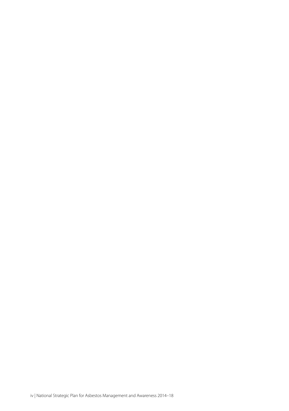iv | National Strategic Plan for Asbestos Management and Awareness 2014-18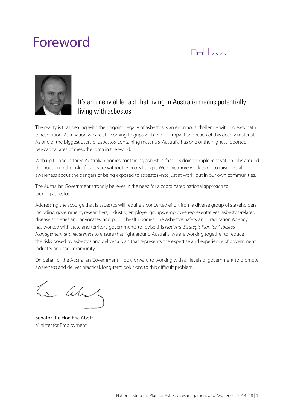# Foreword



#### It's an unenviable fact that living in Australia means potentially living with asbestos.

The reality is that dealing with the ongoing legacy of asbestos is an enormous challenge with no easy path to resolution. As a nation we are still coming to grips with the full impact and reach of this deadly material. As one of the biggest users of asbestos-containing materials, Australia has one of the highest reported per-capita rates of mesothelioma in the world.

With up to one in three Australian homes containing asbestos, families doing simple renovation jobs around the house run the risk of exposure without even realising it. We have more work to do to raise overall awareness about the dangers of being exposed to asbestos–not just at work, but in our own communities.

The Australian Government strongly believes in the need for a coordinated national approach to tackling asbestos.

Addressing the scourge that is asbestos will require a concerted effort from a diverse group of stakeholders including government, researchers, industry, employer groups, employee representatives, asbestos-related disease societies and advocates, and public health bodies. The Asbestos Safety and Eradication Agency has worked with state and territory governments to revise this *National Strategic Plan for Asbestos Management and Awareness* to ensure that right around Australia, we are working together to reduce the risks posed by asbestos and deliver a plan that represents the expertise and experience of government, industry and the community.

On behalf of the Australian Government, I look forward to working with all levels of government to promote awareness and deliver practical, long-term solutions to this difficult problem.

is abe

Senator the Hon Eric Abetz Minister for Employment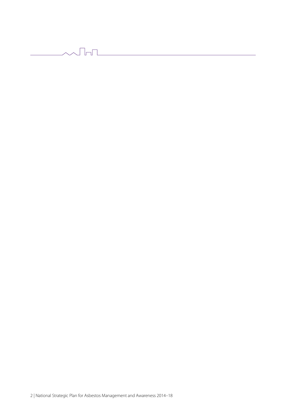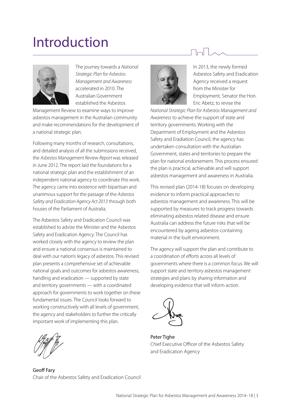# Introduction



The journey towards a *National Strategic Plan for Asbestos Management and Awareness* accelerated in 2010. The Australian Government established the Asbestos

Management Review to examine ways to improve asbestos management in the Australian community and make recommendations for the development of a national strategic plan.

Following many months of research, consultations, and detailed analysis of all the submissions received, the *Asbestos Management Review Report* was released in June 2012. The report laid the foundations for a national strategic plan and the establishment of an independent national agency to coordinate this work. The agency came into existence with bipartisan and unanimous support for the passage of the *Asbestos Safety and Eradication Agency Act 2013* through both houses of the Parliament of Australia.

The Asbestos Safety and Eradication Council was established to advise the Minister and the Asbestos Safety and Eradication Agency. The Council has worked closely with the agency to review the plan and ensure a national consensus is maintained to deal with our nation's legacy of asbestos. This revised plan presents a comprehensive set of achievable national goals and outcomes for asbestos awareness, handling and eradication — supported by state and territory governments — with a coordinated approach for governments to work together on these fundamental issues. The Council looks forward to working constructively with all levels of government, the agency and stakeholders to further the critically important work of implementing this plan.

Geoff Fary Chair of the Asbestos Safety and Eradication Council



In 2013, the newly formed Asbestos Safety and Eradication Agency received a request from the Minister for Employment, Senator the Hon. Eric Abetz, to revise the

*National Strategic Plan for Asbestos Management and Awareness* to achieve the support of state and territory governments. Working with the Department of Employment and the Asbestos Safety and Eradiation Council, the agency has undertaken consultation with the Australian Government, states and territories to prepare the plan for national endorsement. This process ensured the plan is practical, achievable and will support asbestos management and awareness in Australia.

This revised plan (2014-18) focuses on developing evidence to inform practical approaches to asbestos management and awareness. This will be supported by measures to track progress towards eliminating asbestos related disease and ensure Australia can address the future risks that will be encountered by ageing asbestos-containing material in the built environment.

The agency will support the plan and contribute to a coordination of efforts across all levels of governments where there is a common focus. We will support state and territory asbestos management strategies and plans by sharing information and developing evidence that will inform action.



Peter Tighe Chief Executive Officer of the Asbestos Safety and Eradication Agency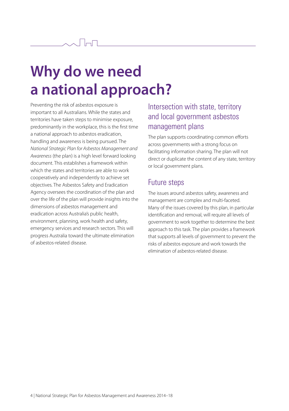# **Why do we need a national approach?**

Preventing the risk of asbestos exposure is important to all Australians. While the states and territories have taken steps to minimise exposure, predominantly in the workplace, this is the first time a national approach to asbestos eradication, handling and awareness is being pursued. The *National Strategic Plan for Asbestos Management and Awareness* (the plan) is a high level forward looking document. This establishes a framework within which the states and territories are able to work cooperatively and independently to achieve set objectives. The Asbestos Safety and Eradication Agency oversees the coordination of the plan and over the life of the plan will provide insights into the dimensions of asbestos management and eradication across Australia's public health, environment, planning, work health and safety, emergency services and research sectors. This will progress Australia toward the ultimate elimination of asbestos-related disease.

### Intersection with state, territory and local government asbestos management plans

The plan supports coordinating common efforts across governments with a strong focus on facilitating information sharing. The plan will not direct or duplicate the content of any state, territory or local government plans.

### Future steps

The issues around asbestos safety, awareness and management are complex and multi-faceted. Many of the issues covered by this plan, in particular identification and removal, will require all levels of government to work together to determine the best approach to this task. The plan provides a framework that supports all levels of government to prevent the risks of asbestos exposure and work towards the elimination of asbestos-related disease.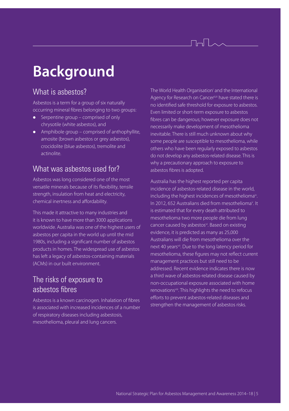# **Background**

#### What is ashestos?

Asbestos is a term for a group of six naturally occurring mineral fibres belonging to two groups:

- $\bullet$  Serpentine group comprised of only chrysotile (white asbestos), and
- $\bullet$  Amphibole group comprised of anthophyllite, amosite (brown asbestos or grey asbestos), crocidolite (blue asbestos), tremolite and actinolite.

#### What was asbestos used for?

Asbestos was long considered one of the most versatile minerals because of its flexibility, tensile strength, insulation from heat and electricity, chemical inertness and affordability.

This made it attractive to many industries and it is known to have more than 3000 applications worldwide. Australia was one of the highest users of asbestos per capita in the world up until the mid 1980s, including a significant number of asbestos products in homes. The widespread use of asbestos has left a legacy of asbestos-containing materials (ACMs) in our built environment.

#### The risks of exposure to asbestos fibres

Asbestos is a known carcinogen. Inhalation of fibres is associated with increased incidences of a number of respiratory diseases including asbestosis, mesothelioma, pleural and lung cancers.

The World Health Organisation<sup>i</sup> and the International Agency for Research on Cancerii,iii have stated there is no identified safe threshold for exposure to asbestos. Even limited or short-term exposure to asbestos fibres can be dangerous; however exposure does not necessarily make development of mesothelioma inevitable. There is still much unknown about why some people are susceptible to mesothelioma, while others who have been regularly exposed to asbestos do not develop any asbestos-related disease. This is why a precautionary approach to exposure to asbestos fibres is adopted.

 $\Box \Box \Box$ 

Australia has the highest reported per capita incidence of asbestos-related disease in the world, including the highest incidences of mesothelioma<sup>iv</sup>. In 2012, 652 Australians died from mesothelioma<sup>v</sup>. It is estimated that for every death attributed to mesothelioma two more people die from lung cancer caused by asbestos<sup>vi</sup>. Based on existing evidence, it is predicted as many as 25,000 Australians will die from mesothelioma over the next 40 years<sup>vii</sup>. Due to the long latency period for mesothelioma, these figures may not reflect current management practices but still need to be addressed. Recent evidence indicates there is now a third wave of asbestos-related disease caused by non-occupational exposure associated with home renovationsviii. This highlights the need to refocus efforts to prevent asbestos-related diseases and strengthen the management of asbestos risks.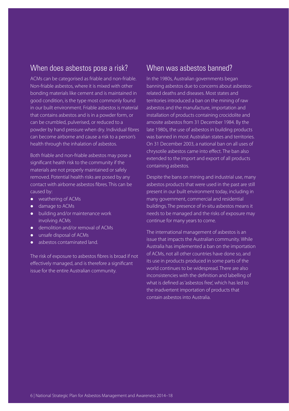#### When does asbestos pose a risk?

ACMs can be categorised as friable and non-friable. Non-friable asbestos, where it is mixed with other bonding materials like cement and is maintained in good condition, is the type most commonly found in our built environment. Friable asbestos is material that contains asbestos and is in a powder form, or can be crumbled, pulverised, or reduced to a powder by hand pressure when dry. Individual fibres can become airborne and cause a risk to a person's health through the inhalation of asbestos.

Both friable and non-friable asbestos may pose a significant health risk to the community if the materials are not properly maintained or safely removed. Potential health risks are posed by any contact with airborne asbestos fibres. This can be caused by:

- $\bullet$  weathering of ACMs
- damage to ACMs
- building and/or maintenance work involving ACMs
- demolition and/or removal of ACMs
- unsafe disposal of ACMs
- asbestos contaminated land.

The risk of exposure to asbestos fibres is broad if not effectively managed, and is therefore a significant issue for the entire Australian community.

#### When was asbestos banned?

In the 1980s, Australian governments began banning asbestos due to concerns about asbestosrelated deaths and diseases. Most states and territories introduced a ban on the mining of raw asbestos and the manufacture, importation and installation of products containing crocidolite and amosite asbestos from 31 December 1984. By the late 1980s, the use of asbestos in building products was banned in most Australian states and territories. On 31 December 2003, a national ban on all uses of chrysotile asbestos came into effect. The ban also extended to the import and export of all products containing asbestos.

Despite the bans on mining and industrial use, many asbestos products that were used in the past are still present in our built environment today, including in many government, commercial and residential buildings. The presence of in-situ asbestos means it needs to be managed and the risks of exposure may continue for many years to come.

The international management of asbestos is an issue that impacts the Australian community. While Australia has implemented a ban on the importation of ACMs, not all other countries have done so, and its use in products produced in some parts of the world continues to be widespread. There are also inconsistencies with the definition and labelling of what is defined as 'asbestos free', which has led to the inadvertent importation of products that contain asbestos into Australia.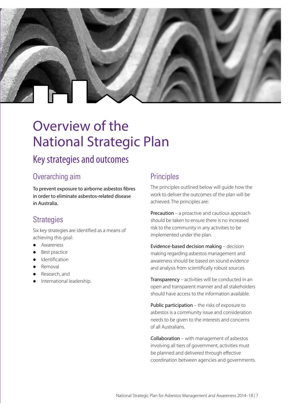

# Overview of the National Strategic Plan

### Key strategies and outcomes

#### Overarching aim

To prevent exposure to airborne asbestos fibres in order to eliminate asbestos-related disease in Australia.

### **Strategies**

Six key strategies are identified as a means of achieving this goal:

- Awareness
- Best practice
- Identification
- Removal
- Research, and
- International leadership.

#### **Principles**

The principles outlined below will guide how the work to deliver the outcomes of the plan will be achieved. The principles are:

Precaution – a proactive and cautious approach should be taken to ensure there is no increased risk to the community in any activities to be implemented under the plan.

Evidence-based decision making – decision making regarding asbestos management and awareness should be based on sound evidence and analysis from scientifically robust sources.

Transparency – activities will be conducted in an open and transparent manner and all stakeholders should have access to the information available.

Public participation – the risks of exposure to asbestos is a community issue and consideration needs to be given to the interests and concerns of all Australians.

Collaboration – with management of asbestos involving all tiers of government, activities must be planned and delivered through effective coordination between agencies and governments.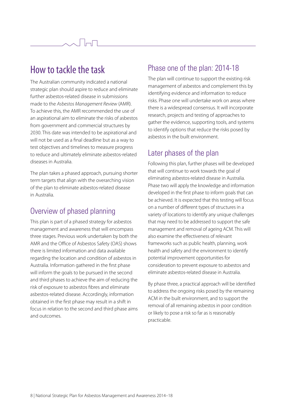### How to tackle the task

The Australian community indicated a national strategic plan should aspire to reduce and eliminate further asbestos-related disease in submissions made to the *Asbestos Management Review* (AMR). To achieve this, the AMR recommended the use of an aspirational aim to eliminate the risks of asbestos from government and commercial structures by 2030. This date was intended to be aspirational and will not be used as a final deadline but as a way to test objectives and timelines to measure progress to reduce and ultimately eliminate asbestos-related diseases in Australia.

 $\Box$ 

The plan takes a phased approach, pursuing shorter term targets that align with the overarching vision of the plan to eliminate asbestos-related disease in Australia.

#### Overview of phased planning

This plan is part of a phased strategy for asbestos management and awareness that will encompass three stages. Previous work undertaken by both the AMR and the Office of Asbestos Safety (OAS) shows there is limited information and data available regarding the location and condition of asbestos in Australia. Information gathered in the first phase will inform the goals to be pursued in the second and third phases to achieve the aim of reducing the risk of exposure to asbestos fibres and eliminate asbestos-related disease. Accordingly, information obtained in the first phase may result in a shift in focus in relation to the second and third phase aims and outcomes.

#### Phase one of the plan: 2014-18

The plan will continue to support the existing risk management of asbestos and complement this by identifying evidence and information to reduce risks. Phase one will undertake work on areas where there is a widespread consensus. It will incorporate research, projects and testing of approaches to gather the evidence, supporting tools, and systems to identify options that reduce the risks posed by asbestos in the built environment.

#### Later phases of the plan

Following this plan, further phases will be developed that will continue to work towards the goal of eliminating asbestos-related disease in Australia. Phase two will apply the knowledge and information developed in the first phase to inform goals that can be achieved. It is expected that this testing will focus on a number of different types of structures in a variety of locations to identify any unique challenges that may need to be addressed to support the safe management and removal of ageing ACM. This will also examine the effectiveness of relevant frameworks such as public health, planning, work health and safety and the environment to identify potential improvement opportunities for consideration to prevent exposure to asbestos and eliminate asbestos-related disease in Australia.

By phase three, a practical approach will be identified to address the ongoing risks posed by the remaining ACM in the built environment, and to support the removal of all remaining asbestos in poor condition or likely to pose a risk so far as is reasonably practicable.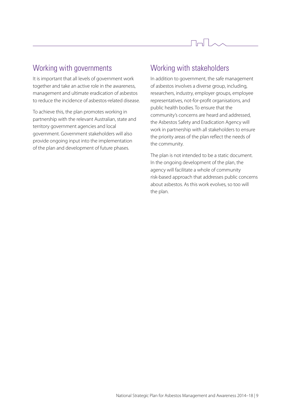#### Working with governments

It is important that all levels of government work together and take an active role in the awareness, management and ultimate eradication of asbestos to reduce the incidence of asbestos-related disease.

To achieve this, the plan promotes working in partnership with the relevant Australian, state and territory government agencies and local government. Government stakeholders will also provide ongoing input into the implementation of the plan and development of future phases.

#### Working with stakeholders

In addition to government, the safe management of asbestos involves a diverse group, including, researchers, industry, employer groups, employee representatives, not-for-profit organisations, and public health bodies. To ensure that the community's concerns are heard and addressed, the Asbestos Safety and Eradication Agency will work in partnership with all stakeholders to ensure the priority areas of the plan reflect the needs of the community.

1–1 I

The plan is not intended to be a static document. In the ongoing development of the plan, the agency will facilitate a whole of community risk-based approach that addresses public concerns about asbestos. As this work evolves, so too will the plan.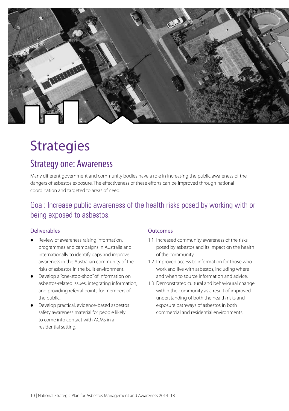

# **Strategies**

### Strategy one: Awareness

Many different government and community bodies have a role in increasing the public awareness of the dangers of asbestos exposure. The effectiveness of these efforts can be improved through national coordination and targeted to areas of need.

#### Goal: Increase public awareness of the health risks posed by working with or being exposed to asbestos.

#### Deliverables

- Review of awareness raising information, programmes and campaigns in Australia and internationally to identify gaps and improve awareness in the Australian community of the risks of asbestos in the built environment.
- Develop a "one-stop-shop" of information on asbestos-related issues, integrating information, and providing referral points for members of the public.
- Develop practical, evidence-based asbestos safety awareness material for people likely to come into contact with ACMs in a residential setting.

- 1.1 Increased community awareness of the risks posed by asbestos and its impact on the health of the community.
- 1.2 Improved access to information for those who work and live with asbestos, including where and when to source information and advice.
- 1.3 Demonstrated cultural and behavioural change within the community as a result of improved understanding of both the health risks and exposure pathways of asbestos in both commercial and residential environments.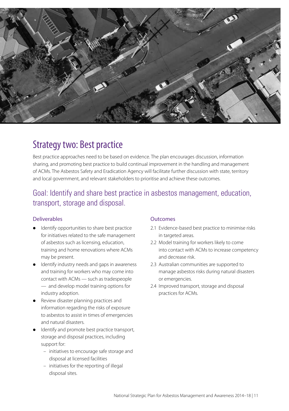

### Strategy two: Best practice

Best practice approaches need to be based on evidence. The plan encourages discussion, information sharing, and promoting best practice to build continual improvement in the handling and management of ACMs. The Asbestos Safety and Eradication Agency will facilitate further discussion with state, territory and local government, and relevant stakeholders to prioritise and achieve these outcomes.

#### Goal: Identify and share best practice in asbestos management, education, transport, storage and disposal.

#### Deliverables

- $\bullet$  Identify opportunities to share best practice for initiatives related to the safe management of asbestos such as licensing, education, training and home renovations where ACMs may be present.
- Identify industry needs and gaps in awareness and training for workers who may come into contact with ACMs — such as tradespeople — and develop model training options for industry adoption.
- Review disaster planning practices and information regarding the risks of exposure to asbestos to assist in times of emergencies and natural disasters.
- Identify and promote best practice transport, storage and disposal practices, including support for:
	- initiatives to encourage safe storage and disposal at licensed facilities
	- initiatives for the reporting of illegal disposal sites.

- 2.1 Evidence-based best practice to minimise risks in targeted areas.
- 2.2 Model training for workers likely to come into contact with ACMs to increase competency and decrease risk.
- 2.3 Australian communities are supported to manage asbestos risks during natural disasters or emergencies.
- 2.4 Improved transport, storage and disposal practices for ACMs.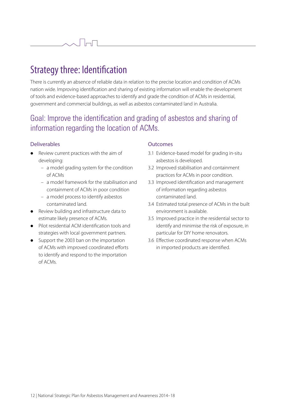# Strategy three: Identification

 $\Box$ 

There is currently an absence of reliable data in relation to the precise location and condition of ACMs nation wide. Improving identification and sharing of existing information will enable the development of tools and evidence-based approaches to identify and grade the condition of ACMs in residential, government and commercial buildings, as well as asbestos contaminated land in Australia.

#### Goal: Improve the identification and grading of asbestos and sharing of information regarding the location of ACMs.

#### **Deliverables**

- $\bullet$  Review current practices with the aim of developing:
	- a model grading system for the condition of ACMs
	- a model framework for the stabilisation and containment of ACMs in poor condition
	- a model process to identify asbestos contaminated land.
- Review building and infrastructure data to estimate likely presence of ACMs.
- Pilot residential ACM identification tools and strategies with local government partners.
- Support the 2003 ban on the importation of ACMs with improved coordinated efforts to identify and respond to the importation of ACMs.

- 3.1 Evidence-based model for grading in-situ asbestos is developed.
- 3.2 Improved stabilisation and containment practices for ACMs in poor condition.
- 3.3 Improved identification and management of information regarding asbestos contaminated land.
- 3.4 Estimated total presence of ACMs in the built environment is available.
- 3.5 Improved practice in the residential sector to identify and minimise the risk of exposure, in particular for DIY home renovators.
- 3.6 Effective coordinated response when ACMs in imported products are identified.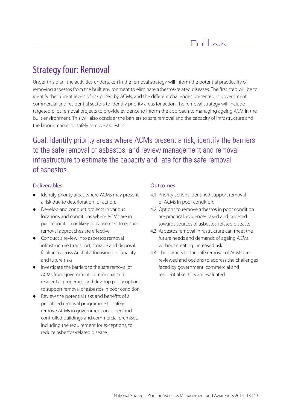# Strategy four: Removal

Under this plan, the activities undertaken in the removal strategy will inform the potential practicality of removing asbestos from the built environment to eliminate asbestos-related diseases. The first step will be to identify the current levels of risk posed by ACMs, and the different challenges presented in government, commercial and residential sectors to identify priority areas for action.The removal strategy will include targeted pilot removal projects to provide evidence to inform the approach to managing ageing ACM in the built environment. This will also consider the barriers to safe removal and the capacity of infrastructure and the labour market to safely remove asbestos.

Goal: Identify priority areas where ACMs present a risk, identify the barriers to the safe removal of asbestos, and review management and removal infrastructure to estimate the capacity and rate for the safe removal of asbestos.

#### Deliverables

- Identify priority areas where ACMs may present a risk due to deterioration for action.
- Develop and conduct projects in various locations and conditions where ACMs are in poor condition or likely to cause risks to ensure removal approaches are effective.
- Conduct a review into asbestos removal infrastructure (transport, storage and disposal facilities) across Australia focusing on capacity and future risks.
- **•** Investigate the barriers to the safe removal of ACMs from government, commercial and residential properties, and develop policy options to support removal of asbestos in poor condition.
- Review the potential risks and benefits of a prioritised removal programme to safely remove ACMs in government occupied and controlled buildings and commercial premises, including the requirement for exceptions, to reduce asbestos-related disease.

#### **Outcomes**

4.1 Priority actions identified support removal of ACMs in poor condition.

 $7 - 1$ 

- 4.2 Options to remove asbestos in poor condition are practical, evidence-based and targeted towards sources of asbestos-related disease.
- 4.3 Asbestos removal infrastructure can meet the future needs and demands of ageing ACMs without creating increased risk.
- 4.4 The barriers to the safe removal of ACMs are reviewed and options to address the challenges faced by government, commercial and residential sectors are evaluated.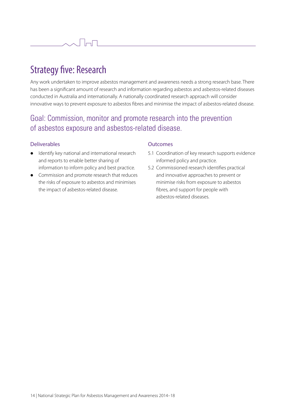# Strategy five: Research

 $\Box$ 

Any work undertaken to improve asbestos management and awareness needs a strong research base. There has been a significant amount of research and information regarding asbestos and asbestos-related diseases conducted in Australia and internationally. A nationally coordinated research approach will consider innovative ways to prevent exposure to asbestos fibres and minimise the impact of asbestos-related disease.

#### Goal: Commission, monitor and promote research into the prevention of asbestos exposure and asbestos-related disease.

#### **Deliverables**

- Identify key national and international research and reports to enable better sharing of information to inform policy and best practice.
- Commission and promote research that reduces the risks of exposure to asbestos and minimises the impact of asbestos-related disease.

- 5.1 Coordination of key research supports evidence informed policy and practice.
- 5.2 Commissioned research identifies practical and innovative approaches to prevent or minimise risks from exposure to asbestos fibres, and support for people with asbestos-related diseases.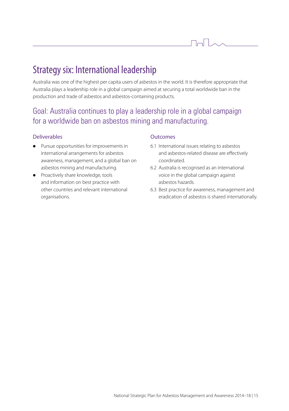# Strategy six: International leadership

Australia was one of the highest per capita users of asbestos in the world. It is therefore appropriate that Australia plays a leadership role in a global campaign aimed at securing a total worldwide ban in the production and trade of asbestos and asbestos-containing products.

#### Goal: Australia continues to play a leadership role in a global campaign for a worldwide ban on asbestos mining and manufacturing.

#### Deliverables

- Pursue opportunities for improvements in international arrangements for asbestos awareness, management, and a global ban on asbestos mining and manufacturing.
- Proactively share knowledge, tools and information on best practice with other countries and relevant international organisations.

#### **Outcomes**

6.1 International issues relating to asbestos and asbestos-related disease are effectively coordinated.

 $\Box$ 

- 6.2 Australia is recognised as an international voice in the global campaign against asbestos hazards.
- 6.3 Best practice for awareness, management and eradication of asbestos is shared internationally.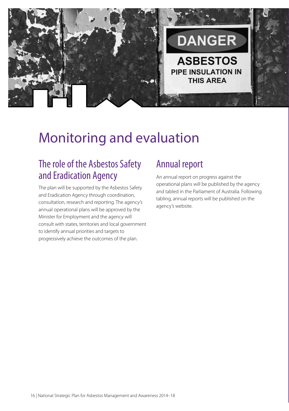

# Monitoring and evaluation

### The role of the Asbestos Safety and Eradication Agency

The plan will be supported by the Asbestos Safety and Eradication Agency through coordination, consultation, research and reporting. The agency's annual operational plans will be approved by the Minister for Employment and the agency will consult with states, territories and local government to identify annual priorities and targets to progressively achieve the outcomes of the plan.

### Annual report

An annual report on progress against the operational plans will be published by the agency and tabled in the Parliament of Australia. Following tabling, annual reports will be published on the agency's website.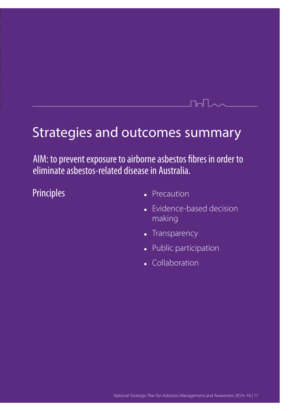# Strategies and outcomes summary

AIM: to prevent exposure to airborne asbestos fibres in order to eliminate asbestos-related disease in Australia.

Principles

- Precaution
- Evidence-based decision making

 $\Box \Box \Box$ 

- Transparency
- Public participation
- Collaboration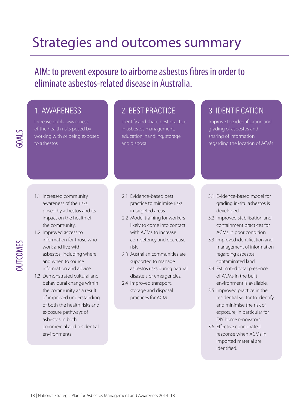# Strategies and outcomes summary

AIM: to prevent exposure to airborne asbestos fibres in order to eliminate asbestos-related disease in Australia.

### 1. AWARENESS

Increase public awareness of the health risks posed by working with or being exposed to asbestos

#### 2. BEST PRACTICE

Identify and share best practice in asbestos management, education, handling, storage and disposal

### 3. IDENTIFICATION

Improve the identification and grading of asbestos and sharing of information regarding the location of ACMs

- 1.1 Increased community awareness of the risks posed by asbestos and its impact on the health of the community.
- 1.2 Improved access to information for those who work and live with asbestos, including where and when to source information and advice.
- 1.3 Demonstrated cultural and behavioural change within the community as a result of improved understanding of both the health risks and exposure pathways of asbestos in both commercial and residential environments.
- 2.1 Evidence-based best practice to minimise risks in targeted areas.
- 2.2 Model training for workers likely to come into contact with ACMs to increase competency and decrease risk.
- 2.3 Australian communities are supported to manage asbestos risks during natural disasters or emergencies.
- 2.4 Improved transport, storage and disposal practices for ACM.
- 3.1 Evidence-based model for grading in-situ asbestos is developed.
- 3.2 Improved stabilisation and containment practices for ACMs in poor condition.
- 3.3 Improved identification and management of information regarding asbestos contaminated land.
- 3.4 Estimated total presence of ACMs in the built environment is available.
- 3.5 Improved practice in the residential sector to identify and minimise the risk of exposure, in particular for DIY home renovators.
- 3.6 Effective coordinated response when ACMs in imported material are identified.

# GOALS

# **DUTCOMES**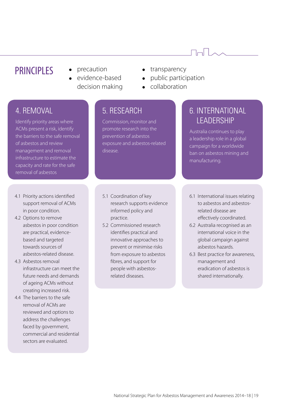### **PRINCIPLES**

- precaution
- evidence-based decision making
- $\bullet$  transparency
- public participation
- $\bullet$  collaboration

### 4. REMOVAL

Identify priority areas where ACMs present a risk, identify the barriers to the safe removal of asbestos and review management and removal infrastructure to estimate the capacity and rate for the safe removal of asbestos

- 4.1 Priority actions identified support removal of ACMs in poor condition.
- 4.2 Options to remove asbestos in poor condition are practical, evidencebased and targeted towards sources of asbestos-related disease.
- 4.3 Asbestos removal infrastructure can meet the future needs and demands of ageing ACMs without creating increased risk.
- 4.4 The barriers to the safe removal of ACMs are reviewed and options to address the challenges faced by government, commercial and residential sectors are evaluated.

### 5. RESEARCH

Commission, monitor and promote research into the prevention of asbestos exposure and asbestos-related disease.

#### 5.1 Coordination of key research supports evidence informed policy and practice.

- 5.2 Commissioned research identifies practical and innovative approaches to prevent or minimise risks from exposure to asbestos fibres, and support for people with asbestosrelated diseases.
- 6.1 International issues relating to asbestos and asbestosrelated disease are

6. INTERNATIONAL LEADERSHIP Australia continues to play a leadership role in a global campaign for a worldwide ban on asbestos mining and

 $\Box \Box \wedge \wedge$ 

manufacturing.

- effectively coordinated.
- 6.2 Australia recognised as an international voice in the global campaign against asbestos hazards.
- 6.3 Best practice for awareness, management and eradication of asbestos is shared internationally.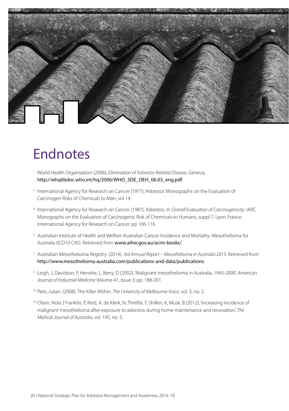

# Endnotes

- <sup>i</sup> World Health Organisation (2006), *Elimination of Asbestos-Related Disease*, Geneva, http://whqlibdoc.who.int/hq/2006/WHO\_SDE\_OEH\_06.03\_eng.pdf.
- ii International Agency for Research on Cancer (1977), 'Asbestos' Monographs on the Evaluation of Carcinogen Risks of Chemicals to Man, vol 14.
- iii International Agency for Research on Cancer (1987), Asbestos. In *Overall Evaluation of Carcinogenicity*. IARC Monographs on the Evaluation of Carcinogenic Risk of Chemicals to Humans, suppl 7. Lyon, France: International Agency for Research on Cancer. pp 106-116.
- iv Australian Institute of Health and Welfare Australian Cancer Incidence and Mortality: Mesothelioma for Australia (ICD10 C45). Retrieved from www.aihw.gov.au/acim-books/.
- <sup>v</sup> Australian Mesothelioma Registry. (2014). *3rd Annual Report Mesothelioma in Australia 2013*. Retrieved from http://www.mesothelioma-australia.com/publications-and-data/publications.
- vi Leigh, J, Davidson, P, Hendrie, L, Berry, D (2002), 'Malignant mesothelioma in Australia, 1945-2000'. *American Journal of Industrial Medicine* Volume 41, Issue 3: pp. 188-201.
- vii Peto, Julian. (2008). The Killer Within. *The University of Melbourne Voice*, vol. 3, no. 2.
- viii Olsen, Nola J Franklin, P, Reid, A, de Klerk, N, Threlfal, T, Shilkin, K, Musk, B (2012), 'Increasing incidence of malignant mesothelioma after exposure to asbestos during home maintenance and renovation', *The Medical Journal of Australia*, vol. 195, no. 5.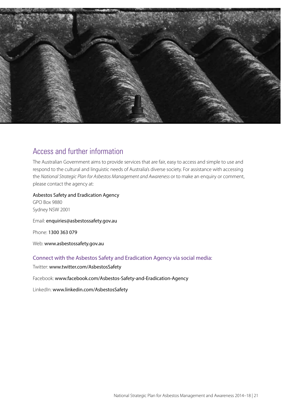

#### Access and further information

The Australian Government aims to provide services that are fair, easy to access and simple to use and respond to the cultural and linguistic needs of Australia's diverse society. For assistance with accessing the *National Strategic Plan for Asbestos Management and Awareness* or to make an enquiry or comment, please contact the agency at:

Asbestos Safety and Eradication Agency GPO Box 9880 Sydney NSW 2001

Email: enquiries@asbestossafety.gov.au

Phone: 1300 363 079

Web: www.asbestossafety.gov.au

#### Connect with the Asbestos Safety and Eradication Agency via social media:

Twitter: www.twitter.com/AsbestosSafety

Facebook: www.facebook.com/Asbestos-Safety-and-Eradication-Agency

LinkedIn: www.linkedin.com/AsbestosSafety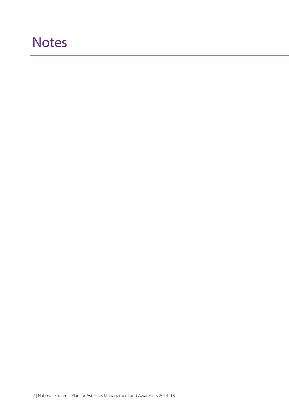# **Notes**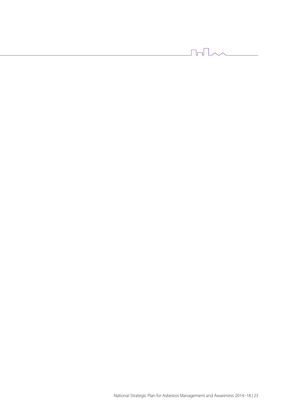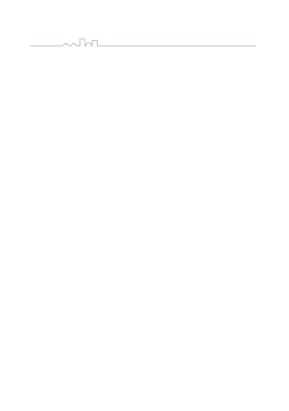